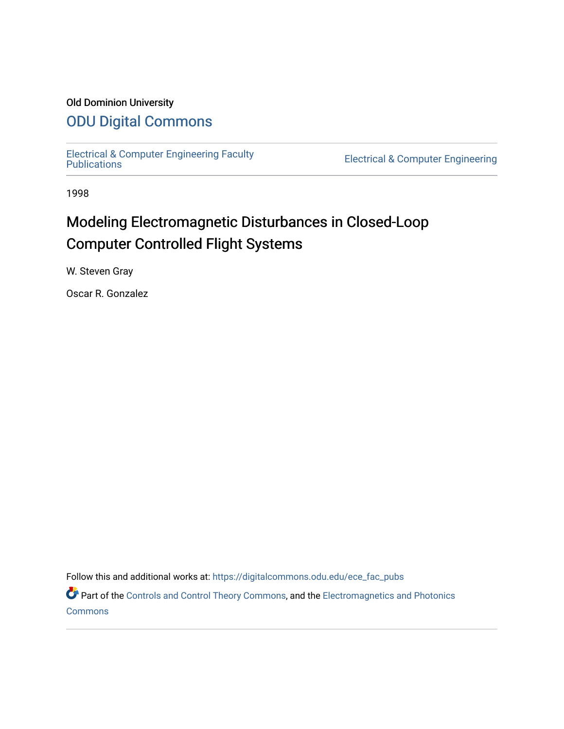# Old Dominion University

# [ODU Digital Commons](https://digitalcommons.odu.edu/)

[Electrical & Computer Engineering Faculty](https://digitalcommons.odu.edu/ece_fac_pubs) 

**Electrical & Computer Engineering** 

1998

# Modeling Electromagnetic Disturbances in Closed-Loop Computer Controlled Flight Systems

W. Steven Gray

Oscar R. Gonzalez

Follow this and additional works at: [https://digitalcommons.odu.edu/ece\\_fac\\_pubs](https://digitalcommons.odu.edu/ece_fac_pubs?utm_source=digitalcommons.odu.edu%2Fece_fac_pubs%2F230&utm_medium=PDF&utm_campaign=PDFCoverPages) 

Part of the [Controls and Control Theory Commons,](http://network.bepress.com/hgg/discipline/269?utm_source=digitalcommons.odu.edu%2Fece_fac_pubs%2F230&utm_medium=PDF&utm_campaign=PDFCoverPages) and the [Electromagnetics and Photonics](http://network.bepress.com/hgg/discipline/271?utm_source=digitalcommons.odu.edu%2Fece_fac_pubs%2F230&utm_medium=PDF&utm_campaign=PDFCoverPages) **[Commons](http://network.bepress.com/hgg/discipline/271?utm_source=digitalcommons.odu.edu%2Fece_fac_pubs%2F230&utm_medium=PDF&utm_campaign=PDFCoverPages)**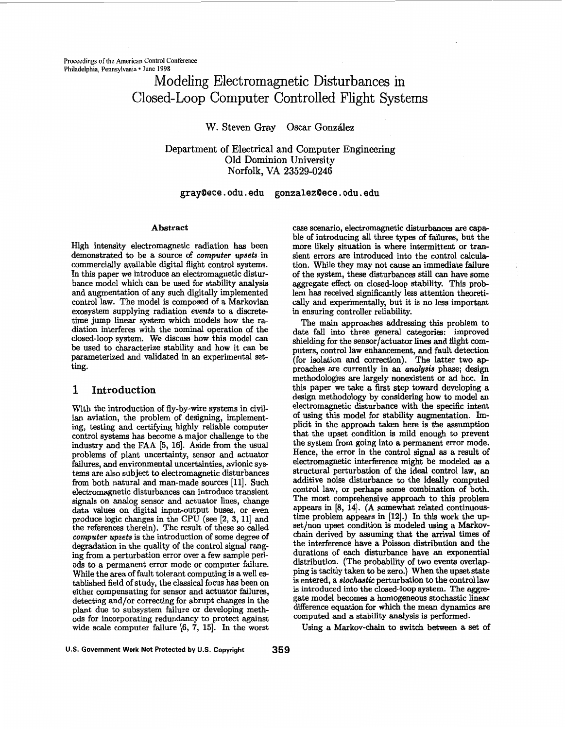# Modeling Electromagnetic Disturbances in Closed-Loop Computer Controlled Flight Systems

# W. Steven Gray Oscar González

Department **of** Electrical and Computer Engineering Old Dominion University **Norfolk, VA 23529-0246** 

### **[gray9ece.odu.edu](http://gray9ece.odu.edu) [gonzalez9ece.odu.edu](http://gonzalez9ece.odu.edu)**

#### **Abstract**

High intensity electromagnetic radiation has been demonstrated to be a source of *computer upsets* in commercially available digital flight control systems. In this paper we introduce an electromagnetic disturbance model which can be used for stability analysis and augmentation of any such digitally implemented control law. The model is composed of a Markovian exosystem supplying radiation *events* to a discrete time jump linear system which models how the radiation interferes with the nominal operation of the closed-loop system. We discuss how this model can be used to characterize stability and how it can be parameterized and validated in an experimental setting.

# **1 Introduction**

With the introduction of fly-by-wire systems in civilian aviation, the problem of designing, implementing, testing and certifying highly reliable computer control systems has become a major challenge to the industry and the FAA [5, 16]. Aside from the usual problems of plant uncertainty, sensor and actuator failures, and environmental uncertainties, avionic systems are also subject to electromagnetic disturbances from both natural and man-made sources **[ll].** Such electromagnetic disturbances *can* introduce transient signals on analog sensor and actuator lines, change data values on digital input-output buses, or even produce logic changes in the CPU **(see [2, 3, 111** and the references therein). The result of these so called *computer upsets* is the introduction of some degree of degradation in the quality of the control signal ranging from a perturbation error over a few sample peri**ods** to a permanent error mode or computer failure. While the area of fault tolerant computing is a well established field of study, the classical focus has been on either compensating for sensor and actuator failures, detecting and/or correcting for abrupt changes in the plant due to subsystem failure **or** developing methods for incorporating redundancy to protect against wide scale computer failure [6, 7, 15]. In the worst

case scenario, electromagnetic disturbances are capable of introducing all three types of failures, but the more likely situation is where intermittent or transient errors are introduced into the control calculation. While they may not cause an immediate failure of the system, these disturbances still *can* have some aggregate effect on closed-loop stability. This problem has received significantly less attention theoretically and experimentally, but it is no less important in ensuring controller reliability.

The main approaches addressing this problem to date fall into three general categories: improved shielding for the sensor/actuator lines and flight computers, control law enhancement, and fault detection (for isolation and correction). The latter two approaches are currently in an *analysis* phase; design methodologies are largely nonexistent or ad hoc. In this paper we take a first step toward developing a design methodology by considering how to model an electromagnetic disturbance with the specific intent of using this model for stability augmentation. Implicit in the approach taken here is the assumption that the upset condition is mild enough to prevent the system from going into a permanent error mode. Hence, the error in the control signal **as** a result of electromagnetic interference might be modeled **as** a structural perturbation of the ideal control law, an additive noise disturbance to the ideally computed control law, or perhaps some combination of both. The most comprehensive approach to this problem appears in *[8,* **141. (A** somewhat related continuoustime problem appears in **[12].)** In this work the upset/non upset condition is modeled using a Markovchain derived by assuming that the arrival times of the interference have a Poisson distribution and the durations of each disturbance have **an** exponential distribution. (The probability of two events overlapping is tacitly taken to be zero.) When the upset state is entered, a *stochastic* perturbation to the control law is introduced into the closed-loop system. The **aggre**gate model becomes a homogeneous stochastic linear difference equation for which the mean dynamics are computed and a stability analysis is performed.

Using a Markov-chain to switch between a **set** of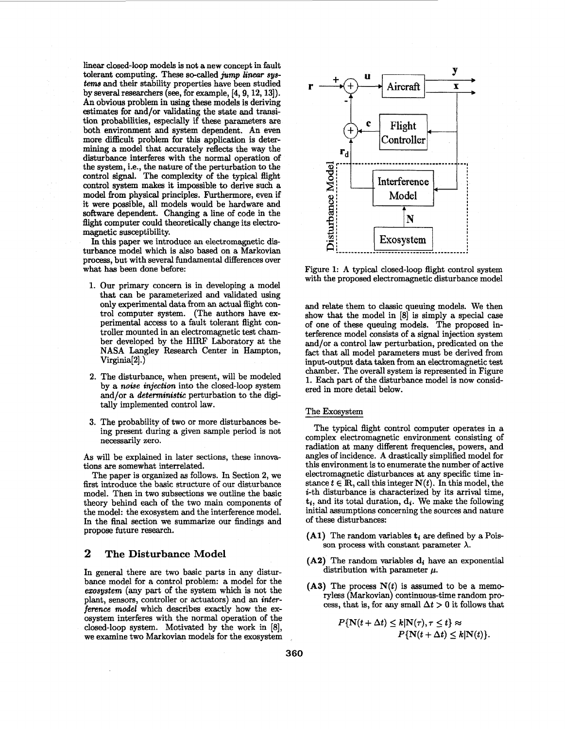linear closed-loop models is not a new concept in fault tolerant computing. These so-called *jump linear* **sys***tems* and their stability properties have been studied by several researchers *(see,* for example, **[4,9,12,13]).**  An obvious problem in using these models **is** deriving estimates for and/or validating the state and transition probabilities, especially if these parameters are both environment and system dependent. An even more difficult problem for this application is determining a model that accurately reflects the way the disturbance interferes with the normal operation *of*  the system, i.e., the nature of the perturbation to the control signal. The complexity of the typical flight control system makes it impossible to derive such a model from physical principles. Furthermore, even if it were possible, all models would be hardware and software dependent. Changing a line of code in the flight computer could theoretically change its electromagnetic susceptibility.

In this paper we introduce an electromagnetic **dis**turbance model which is also based on a Markovian process, but with several fundamental differences over what has been done before:

- **1.** Our primary concern is in developing a model that can be parameterized and validated using only experimental data from an actual flight control computer system. (The authors have experimental access to a fault tolerant flight controller mounted in an electromagnetic test chamber developed by the **HIRF** Laboratory at the **NASA** Langley Research Center in Hampton, Virginia[2].)
- **2.** The disturbance, when present, will be modeled by a *noise injection* into the closed-loop system and/or a *deterministic* perturbation to the digitally implemented control law.
- **3.** The probability of two or more disturbances being present during a given sample period is not necessarily zero.

**As** will be explained in later sections, these innovations are somewhat interrelated.

The paper is organized **as** follows. In Section **2,** we first introduce the basic structure of our disturbance model. Then in two subsections we outline the basic theory behind each of the two main components of the model: the exosystem and the interference model. In the final section we summarize our findings and propose future research.

## **2 The Disturbance Model**

In general there are two basic parts in any disturbance model for a control problem: a model for the *emsystem* (any part of the system which is not the plant, sensors, controller or actuators) and an *interference model* which describes exactly how the exosystem interferes with the normal operation of the closed-loop system. Motivated by the work in *[8],*  we examine two Markovian models for the exosystem



Figure **1: A** typical closed-loop flight control system with the proposed electromagnetic disturbance model

and relate them to classic queuing models. We then show that the model in *[8]* is simply a special case of one of these queuing models. The proposed interference model consists of a signal injection system and/or a control law perturbation, predicated on the fact that all model parameters must be derived from input-output data taken from **an** electromagnetic test chamber. The overall system is represented in Figure **1. Each** part of the disturbance model is now considered in more detail below.

#### The Exosvstem

The typical flight control computer operates in a complex electromagnetic environment consisting of radiation at many different frequencies, powers, and angles of incidence. **A** drastically simplified model for this environment is to enumerate the number of active electromagnetic disturbances at any specific time instance  $t \in \mathbb{R}$ , call this integer  $N(t)$ . In this model, the i-th disturbance is characterized by its arrival time,  $t_i$ , and its total duration,  $d_i$ . We make the following initial assumptions concerning the sources and nature of these disturbances:

- $(A1)$  The random variables  $t_i$  are defined by a Poisson process with constant parameter  $\lambda$ .
- $(A2)$  The random variables  $\mathbf{d}_i$  have an exponential distribution with parameter  $\mu$ .
- (A3) The process  $N(t)$  is assumed to be a memoryless (Markovian) continuous-time random process, that is, for any small  $\Delta t > 0$  it follows that

$$
P\{\mathbf{N}(t+\Delta t) \leq k | \mathbf{N}(\tau), \tau \leq t\} \approx
$$
  

$$
P\{\mathbf{N}(t+\Delta t) \leq k | \mathbf{N}(t)\}.
$$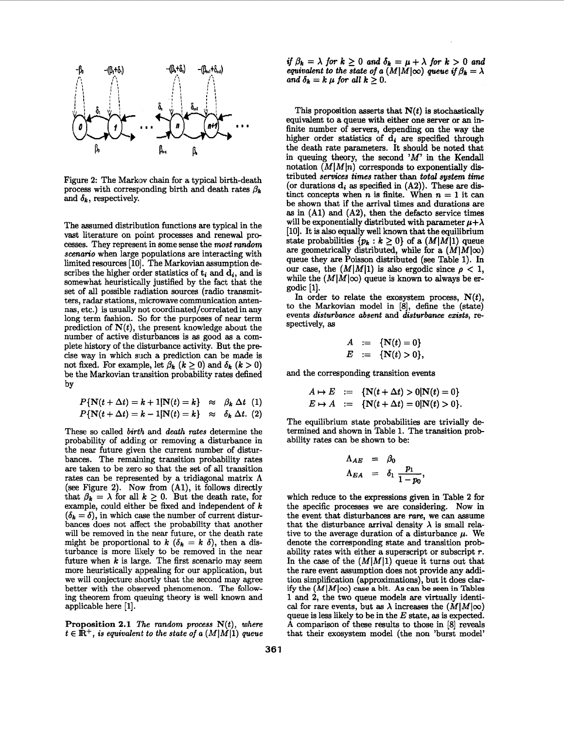

Figure 2: The Markov chain for a typical birth-death process with corresponding birth and death rates  $\beta_k$ and  $\delta_k$ , respectively.

The assumed distribution functions are typical in the vast literature on point processes and renewal pre cesses. They represent in some sense the *most random scenario* when large populations are interacting with limited resources *[lo].* The Markovian assumption describes the higher order statistics of  $t_i$  and  $\overline{d}_i$ , and is somewhat heuristically justified by the fact that the set of all possible radiation sources (radio transmitters, **radar** stations, inicrowave communication antennas, etc.) is usually not coordinated/correlated in any long term fashion. So for the purposes of near term prediction of  $N(t)$ , the present knowledge about the number of active disturbances is **as** good **as** a complete history of the clisturbance activity. But the pre cise way in which **siich** a prediction can be made is not fixed. For example, let  $\beta_k$  ( $k \geq 0$ ) and  $\delta_k$  ( $k > 0$ ) be the Markovian transition probability rates defined by

$$
P\{\mathbf{N}(t + \Delta t) = k + 1 | \mathbf{N}(t) = k\} \approx \beta_k \Delta t \quad (1)
$$
  

$$
P\{\mathbf{N}(t + \Delta t) = k - 1 | \mathbf{N}(t) = k\} \approx \delta_k \Delta t. \quad (2)
$$

These so called *birth* and *death rates* determine the probability of adding or removing a disturbance in the near future given the current number of disturbances. The remaining transition probability rates are taken to be zero so that the set of all transition rates can be represented by a tridiagonal matrix  $\Lambda$ (see Figure *2).* **Now** from *(Al),* it follows directly that  $\beta_k = \lambda$  for all  $k \geq 0$ . But the death rate, for example, could either be fixed and independent of  $k$  $(\delta_k = \delta)$ , in which case the number of current disturbances does not affect the probability that another will be removed in the near future, or the death rate might be proportional to  $k$  ( $\delta_k = k$   $\delta$ ), then a disturbance is more likely to be removed in the near future when *k* is large. The first scenario may seem more heuristically appealing for our application, but we will conjecture shortly that the second may agree better with the observed phenomenon. The following theorem from queuing theory is well known and applicable here [1].

**Proposition 2.1** *The random process N(t), where*   $t \in \mathbb{R}^+$ , is equivalent to the state of a  $(M|M|1)$  queue

*if*  $\beta_k = \lambda$  for  $k \geq 0$  and  $\delta_k = \mu + \lambda$  for  $k > 0$  and *equivalent to the state of a*  $(M|M|\infty)$  *queue if*  $\beta_k = \lambda$ *and*  $\delta_k = k \mu$  *for all*  $k \geq 0$ .

This proposition asserts that *N(t)* is stochastically equivalent to a queue with either one server or **an** infinite number of servers, depending on the way the higher order statistics of  $\mathbf{d}_i$  are specified through the death rate parameters. It should be noted that in queuing theory, the second *'M'* in the Kendall notation  $(M|M|n)$  corresponds to exponentially distributed *services times* rather than *total system time*  (or durations  $\mathbf{d_i}$  as specified in  $(A2)$ ). These are distinct concepts when *n* is finite. When  $n = 1$  it can be shown that if the arrival times and durations are **as** in *(Al)* and **(A2),** then the defacto service times will be exponentially distributed with parameter  $\mu+\lambda$ [lo]. It is also equally well known that the equilibrium state probabilities  $\{p_k : k \geq 0\}$  of a  $(M|M|1)$  queue are geometrically distributed, while for a  $(M|M|\infty)$ queue they are Poisson distributed (see Table 1). In our case, the  $(M|M|1)$  is also ergodic since  $\rho < 1$ , while the  $(M|M|\infty)$  queue is known to always be ergodic [l].

In order to relate the exosystem process, *N(t),*  to the Markovian model in [8], define the (state) events *disturbance absent* and *disturbance exists,* **re**spectively, **as** 

$$
A := \{ N(t) = 0 \} \n E := \{ N(t) > 0 \},
$$

and the corresponding transition events

$$
A \mapsto E := \{ \mathbf{N}(t + \Delta t) > 0 | \mathbf{N}(t) = 0 \}
$$
  

$$
E \mapsto A := \{ \mathbf{N}(t + \Delta t) = 0 | \mathbf{N}(t) > 0 \}.
$$

The equilibrium state probabilities are trivially determined and shown in Table *l.* The transition probability rates can be shown to be: a state probabilities are trived<br>  $\Lambda_{AE}$  =  $\beta_0$ <br>  $\Lambda_{EA}$  =  $\delta_1$   $\frac{p_1}{1-p_0}$ ,

$$
\begin{array}{rcl}\n\Lambda_{AE} & = & \beta_0 \\
\Lambda_{EA} & = & \delta_1 \, \frac{p_1}{1 - p_0},\n\end{array}
$$

which reduce to the expressions given in Table **2** for the specific processes we are considering. Now in the event that disturbances are *raw,* we can assume that the disturbance arrival density  $\lambda$  is small relative to the average duration of a disturbance  $\mu$ . We denote the corresponding state and transition probability rates with either a superscript or subscript *T.*  In the case of the  $(M|M|1)$  queue it turns out that the rare event assumption does not provide any addition simplification (approximations), but it does clarify the *(MlMIoo)* **case a bit. As can be** *seen* **in Tables**  *1* and **2,** the two queue models are virtually identical for rare events, but as  $\lambda$  increases the  $(M|M|\infty)$ queue **is** less likely to be in the E state, **as** is expected. **A** comparison of these results to those in [8] reveals that their exosystem model (the non 'burst model'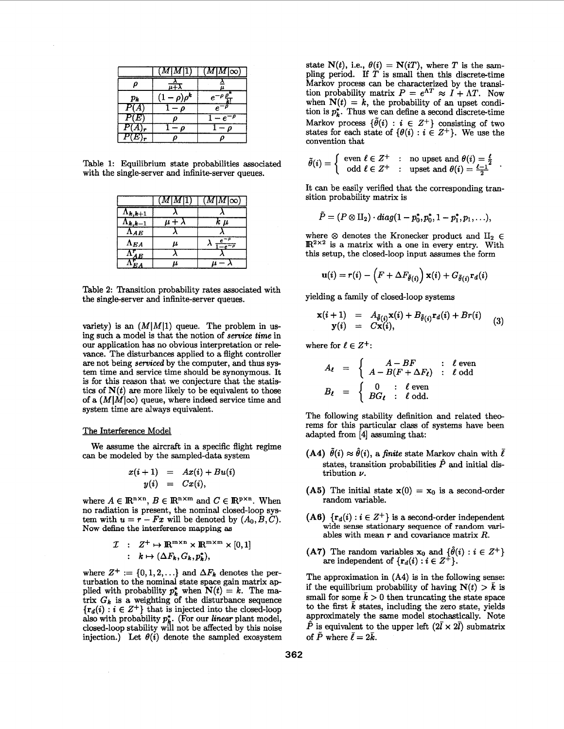|          |                                         | $[M\vert M\vert\infty)$ |
|----------|-----------------------------------------|-------------------------|
|          |                                         |                         |
| $p_k$    | ነ <sub>በ</sub> ቱ<br>$\boldsymbol{\rho}$ |                         |
| P(A)     |                                         |                         |
| P(E)     |                                         |                         |
| $P(A)_r$ |                                         |                         |
| $P(E)$ . |                                         |                         |

Table **1:** Equilibrium state probabilities associated with the single-server and infinite-server queues.

|                   | $M$   $M$   $1$ | $(M\vert M\vert\infty)$ |
|-------------------|-----------------|-------------------------|
| $\Lambda_{k,k+1}$ |                 |                         |
| $\Lambda_{k,k-1}$ | $\mu + \lambda$ | $k \mu$                 |
| $\Lambda_{AE}$    |                 |                         |
| $\Lambda_{EA}$    | μ               | $e^{-\rho}$             |
| $\Lambda_{AE}^r$  |                 |                         |
|                   | u               |                         |

Table **2:** Transition probability rates associated with the single-server and infinite-server queues.

variety) is an  $(M|M|1)$  queue. The problem in using such a model is that the notion of *service time* in our application has no obvious interpretation or rele vance. The disturbances applied to a flight controller are not being *serviced* by the computer, and thus system time and service time should be synonymous. It is for this reason that we conjecture that the statistics of  $N(t)$  are more likely to be equivalent to those of a  $(M|M|\infty)$  queue, where indeed service time and system time are always equivalent.

#### The Interference Model

can be modeled by the sampled-data system We assume the aircraft in a specific flight regime

$$
x(i + 1) = Ax(i) + Bu(i)
$$
  

$$
y(i) = Cx(i),
$$

where  $A \in \mathbb{R}^{n \times n}$ ,  $B \in \mathbb{R}^{n \times m}$  and  $C \in \mathbb{R}^{p \times n}$ . When no radiation is present, the nominal closed-loop sys-<br>tem with  $u = r - Fx$  will be denoted by  $(A_0, B, C)$ . **Now define the interference mapping as** 

$$
\mathcal{I} : Z^+ \mapsto \mathbb{R}^{m \times n} \times \mathbb{R}^{m \times m} \times [0,1]
$$
  
 :  $k \mapsto (\Delta F_k, G_k, p_k^*),$ 

where  $Z^+ := \{0, 1, 2, \ldots\}$  and  $\Delta F_k$  denotes the perturbation to the nominal state space gain matrix applied with probability  $p_k^*$  when  $N(t) = k$ . The matrix  $G_k$  is a weighting of the disturbance sequence  $\{r_d(i) : i \in \mathbb{Z}^+\}$  that is injected into the closed-loop also with probability *pi.* (For our *linear* plant model, closed-loop stability will not be affected by this noise injection.) Let  $\theta(i)$  denote the sampled exosystem

state  $N(t)$ , i.e.,  $\theta(i) = N(i)$ , where *T* is the sampling period. If  $T$  is small then this discrete-time Markov process can be characterized by the transition probability matrix  $P = e^{\Lambda T} \approx I + \Lambda T$ . Now when  $N(t) = k$ , the probability of an upset condition is  $p_k^*$ . Thus we can define a second discrete-time Markov process  $\{\tilde{\theta}(i) : i \in \mathbb{Z}^+\}$  consisting of two states for each state of  $\{\theta(i) : i \in Z^+\}$ . We use the convention that

$$
\tilde{\theta}(i) = \left\{ \begin{array}{rcl} \textrm{even} \,\,\ell \in Z^+ & : & \textrm{no upset and} \,\,\theta(i) = \frac{\ell}{2} \\ \textrm{odd} \,\,\ell \in Z^+ & : & \textrm{upset and} \,\,\theta(i) = \frac{\ell-1}{2} \end{array} \right. .
$$

It can be easily verified that the corresponding transition probability matrix is

$$
\tilde{P}=(P\otimes \Pi_2)\cdot diag(1-p_0^*,p_0^*,1-p_1^*,p_1,\ldots),
$$

where  $\otimes$  denotes the Kronecker product and  $\text{II}_2 \in$  $\mathbb{R}^{2\times 2}$  is a matrix with a one in every entry. With this setup, the closed-loop input assumes the form

$$
\mathbf{u}(i) = r(i) - \left( F + \Delta F_{\tilde{\theta}(i)} \right) \mathbf{x}(i) + G_{\tilde{\theta}(i)} \mathbf{r}_d(i)
$$

yielding a family of closed-loop systems

$$
\mathbf{x}(i+1) = A_{\tilde{\theta}(i)}\mathbf{x}(i) + B_{\tilde{\theta}(i)}\mathbf{r}_d(i) + Br(i)
$$
  
\n
$$
\mathbf{y}(i) = C\mathbf{x}(i),
$$
 (3)

where for  $\ell \in Z^+$ :

$$
A_{\ell} = \begin{cases} A - BF & : \ell \text{ even} \\ A - B(F + \Delta F_{\ell}) & : \ell \text{ odd} \end{cases}
$$
  

$$
B_{\ell} = \begin{cases} 0 & : \ell \text{ even} \\ BG_{\ell} & : \ell \text{ odd.} \end{cases}
$$

The following stability definition and related thee rems for this particular class of systems have been adapted from **[4]** assuming that:

- **(A4)**  $\tilde{\theta}(i) \approx \hat{\theta}(i)$ , a *finite* state Markov chain with  $\bar{\ell}$ states, transition probabilities  $\hat{P}$  and initial distribution *v.*
- (A5) The initial state  $x(0) = x_0$  is a second-order random variable.
- **(A6)**  $\{r_d(i) : i \in \mathbb{Z}^+\}$  is a second-order independent wide sense stationary sequence of random variables with mean *T* and covariance matrix *R.*
- (A7) The random variables  $x_0$  and  $\{\hat{\theta}(i) : i \in Z^+\}$ are independent of  ${r_d(i) : i \in Z^+}.$

The approximation in **(A4)** is in the following sense: if the equilibrium probability of having  $N(t) > \bar{k}$  is small for some  $\bar{k} > 0$  then truncating the state space to the first  $\bar{k}$  states, including the zero state, yields approximately the same model stochastically. Note  $\hat{P}$  is equivalent to the upper left  $(2\bar{l} \times 2\bar{l})$  submatrix of  $\tilde{P}$  where  $\bar{\ell} = 2\bar{k}$ .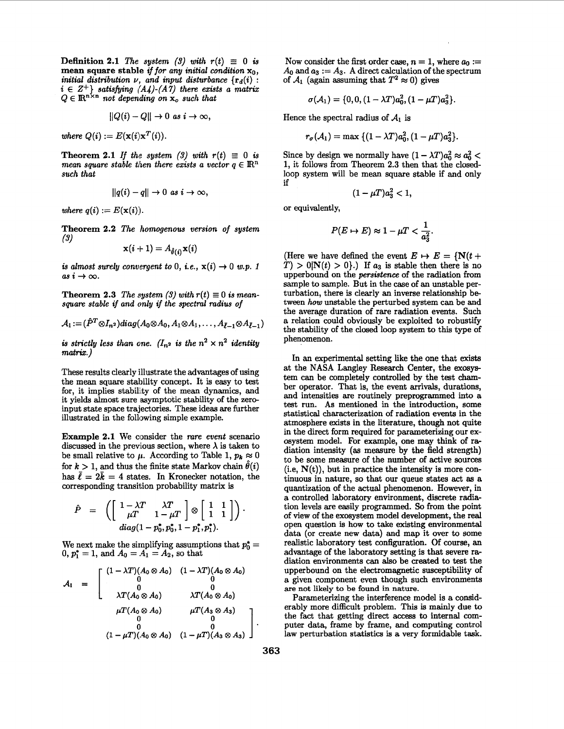**Definition 2.1** *The system (3) with*  $r(t) \equiv 0$  *is* **mean square stable** *if for any initial condition* $\mathbf{x}_0$ **,** *initial distribution v, and input disturbance*  ${r_d(i)}$ :  $i \in \mathbb{Z}^+$  *satisfying (A4)-(A7) there exists a matrix*  $Q \in \mathbb{R}^{n \times n}$  *not depending on*  $\mathbf{x}_o$  *such that* 

$$
||Q(i) - Q|| \to 0 \text{ as } i \to \infty,
$$

*where*  $Q(i) := E(\mathbf{x}(i)\mathbf{x}^T(i)).$ 

**Theorem 2.1** *If the system (3) with*  $r(t) \equiv 0$  *is mean square stable then there exists a vector*  $q \in \mathbb{R}^n$ *such that* 

$$
||q(i) - q|| \to 0 \text{ as } i \to \infty,
$$

*where*  $q(i) := E(\mathbf{x}(i)).$ 

**Theorem 2.2** *The homogenous version of system*  **(3)** 

$$
\mathbf{x}(i+1) = A_{\hat{\theta}(i)} \mathbf{x}(i)
$$

*is almost surely convergent to 0, i.e.,*  $x(i) \rightarrow 0$  *w.p. 1*  $as i \rightarrow \infty$ .

**Theorem 2.3** *The system (3) with*  $r(t) \equiv 0$  *is meansquare stable if and only if the spectral radius of* 

$$
A_1:=(\hat{P}^T\otimes I_{n^2})diag(A_0\otimes A_0,A_1\otimes A_1,\ldots,A_{\bar{\ell}-1}\otimes A_{\bar{\ell}-1})
$$

*is strictly less than one.* ( $I_{n^2}$  *is the*  $n^2 \times n^2$  *identity matrix.)* 

These results clearly illustrate the advantages of using the mean square stalility concept. It is easy to test for, it implies stability of the mean dynamics, and it yields almost sure asymptotic stability of the **zero**input state space trajectories. These ideas are further illustrated in the following simple example.

**Example 2.1** We consider the *rare event* scenario discussed in the previous section, where  $\lambda$  is taken to be small relative to  $\mu$ . According to Table 1,  $p_k \approx 0$ for  $k > 1$ , and thus the finite state Markov chain  $\hat{\theta}(i)$ corresponding transition probability matrix is

for 
$$
k > 1
$$
, and thus the finite state Markov chain  $\theta(i)$   
has  $\bar{\ell} = 2\bar{k} = 4$  states. In Kronecker notation, the  
corresponding transition probability matrix is  

$$
\hat{P} = \left( \begin{bmatrix} 1 - \lambda T & \lambda T \\ \mu T & 1 - \mu T \end{bmatrix} \otimes \begin{bmatrix} 1 & 1 \\ 1 & 1 \end{bmatrix} \right).
$$

$$
diag(1 - p_0^*, p_0^*, 1 - p_1^*, p_1^*).
$$

We next make the simplifying assumptions that  $p_0^* =$  $0, p_1^* = 1$ , and  $A_0 = A_1 = A_2$ , so that

$$
A_1 = \begin{bmatrix} (1 - \lambda T)(A_0 \otimes A_0) & (1 - \lambda T)(A_0 \otimes A_0) \\ 0 & 0 \\ 0 & 0 \\ \lambda T(A_0 \otimes A_0) & \lambda T(A_0 \otimes A_0) \\ \mu T(A_0 \otimes A_0) & \mu T(A_3 \otimes A_3) \\ 0 & 0 & 0 \\ (1 - \mu T)(A_0 \otimes A_0) & (1 - \mu T)(A_3 \otimes A_3) \end{bmatrix}
$$

Now consider the first order case,  $n = 1$ , where  $a_0 :=$  $A_0$  and  $a_3 := A_3$ . A direct calculation of the spectrum of  $A_1$  (again assuming that  $T^2 \approx 0$ ) gives

$$
\sigma(\mathcal{A}_1)=\{0,0,(1-\lambda T)a_0^2,(1-\mu T)a_3^2\}.
$$

Hence the spectral radius of  $A_1$  is

$$
r_{\sigma}(\mathcal{A}_1) = \max \{(1 - \lambda T)a_0^2, (1 - \mu T)a_3^2\}.
$$

Since by design we normally have  $(1 - \lambda T)a_0^2 \approx a_0^2$ **1,** it follows from Theorem **2.3** then that the closedloop system will be mean square stable if and only if

$$
(1-\mu T)a_3^2<1,
$$

or equivalently,

$$
P(E \mapsto E) \approx 1 - \mu T < \frac{1}{a_3^2}.
$$

(Here we have defined the event  $E \mapsto E = \{N(t +$  $T$ ) > 0|N(t) > 0}.) If  $a_3$  is stable then there is no upperbound on the *persistence* of the radiation from sample to sample. But in the case of an unstable perturbation, there is clearly an inverse relationship be tween *how* unstable the perturbed system can be and the average duration of rare radiation events. Such a relation could obviously be exploited to robustify the stability of the closed loop system to this type of phenomenon.

In **an** experimental setting like the one that **exists**  at the NASA Langley Research Center, the exosystem can be completely controlled by the test *cham*ber operator. That is, the event **arrivals,** durations, and intensities are routinely preprogrammed into a test run. **As** mentioned in the introduction, some statistical characterization of radiation events in the atmosphere exists in the literature, though not quite in the direct form required for parameterizing our exosystem model. **For** example, one may think of radiation intensity **(as** measure by the field strength) to be some measure of the number of active sources  $(i.e, N(t))$ , but in practice the intensity is more continuous in nature, so that our queue states act **as** a quantization of the actual phenomenon. However, in a controlled laboratory environment, discrete radiation levels are easily programmed. So from the point of view of the exosystem model development, the real open question is how to take existing environmental data (or create new data) and map it over to some realistic laboratory test configuration. Of course, an advantage of the laboratory setting is that severe radiation environments can also be created to test the upperbound on the electromagnetic susceptibility of a given component even though such environments **are not likely to be found in nature.** 

Parameterizing the interference model is a considerably more difficult problem. This is mainly due to the fact that getting direct access to internal computer data, frame by frame, and computing control law perturbation statistics is a very formidable task.